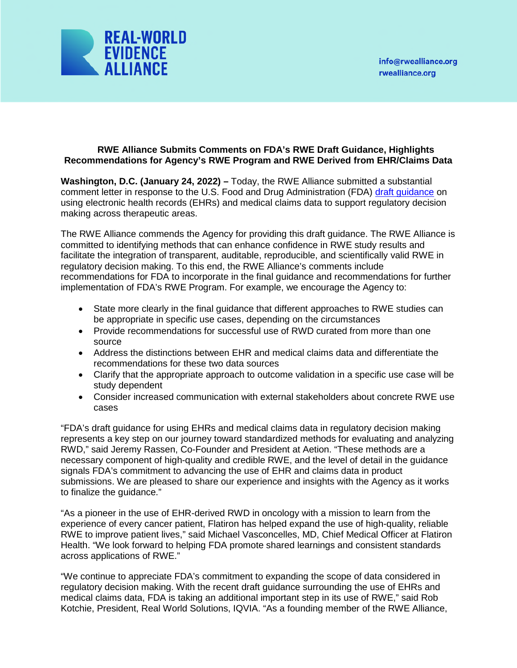

## **RWE Alliance Submits Comments on FDA's RWE Draft Guidance, Highlights Recommendations for Agency's RWE Program and RWE Derived from EHR/Claims Data**

**Washington, D.C. (January 24, 2022) –** Today, the RWE Alliance submitted a substantial comment letter in response to the U.S. Food and Drug Administration (FDA) [draft guidance](https://www.fda.gov/media/152503/download) on using electronic health records (EHRs) and medical claims data to support regulatory decision making across therapeutic areas.

The RWE Alliance commends the Agency for providing this draft guidance. The RWE Alliance is committed to identifying methods that can enhance confidence in RWE study results and facilitate the integration of transparent, auditable, reproducible, and scientifically valid RWE in regulatory decision making. To this end, the RWE Alliance's comments include recommendations for FDA to incorporate in the final guidance and recommendations for further implementation of FDA's RWE Program. For example, we encourage the Agency to:

- State more clearly in the final guidance that different approaches to RWE studies can be appropriate in specific use cases, depending on the circumstances
- Provide recommendations for successful use of RWD curated from more than one source
- Address the distinctions between EHR and medical claims data and differentiate the recommendations for these two data sources
- Clarify that the appropriate approach to outcome validation in a specific use case will be study dependent
- Consider increased communication with external stakeholders about concrete RWE use cases

"FDA's draft guidance for using EHRs and medical claims data in regulatory decision making represents a key step on our journey toward standardized methods for evaluating and analyzing RWD," said Jeremy Rassen, Co-Founder and President at Aetion. "These methods are a necessary component of high-quality and credible RWE, and the level of detail in the guidance signals FDA's commitment to advancing the use of EHR and claims data in product submissions. We are pleased to share our experience and insights with the Agency as it works to finalize the guidance."

"As a pioneer in the use of EHR-derived RWD in oncology with a mission to learn from the experience of every cancer patient, Flatiron has helped expand the use of high-quality, reliable RWE to improve patient lives," said Michael Vasconcelles, MD, Chief Medical Officer at Flatiron Health. "We look forward to helping FDA promote shared learnings and consistent standards across applications of RWE."

"We continue to appreciate FDA's commitment to expanding the scope of data considered in regulatory decision making. With the recent draft guidance surrounding the use of EHRs and medical claims data, FDA is taking an additional important step in its use of RWE," said Rob Kotchie, President, Real World Solutions, IQVIA. "As a founding member of the RWE Alliance,